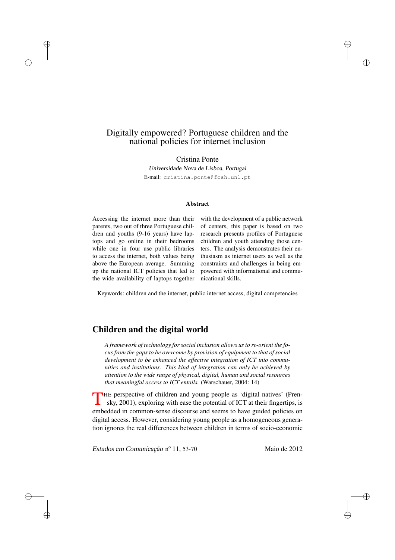# Digitally empowered? Portuguese children and the national policies for internet inclusion

Cristina Ponte *Universidade Nova de Lisboa, Portugal* E-mail: cristina.ponte@fcsh.unl.pt

#### Abstract

Accessing the internet more than their parents, two out of three Portuguese children and youths (9-16 years) have laptops and go online in their bedrooms while one in four use public libraries to access the internet, both values being above the European average. Summing up the national ICT policies that led to the wide availability of laptops together

 $\rightarrow$ 

 $\rightarrow$ 

Đ.

D.

with the development of a public network of centers, this paper is based on two research presents profiles of Portuguese children and youth attending those centers. The analysis demonstrates their enthusiasm as internet users as well as the constraints and challenges in being empowered with informational and communicational skills.

Đ.

Ð

Đ.

Đ.

Keywords: children and the internet, public internet access, digital competencies

# Children and the digital world

*A framework of technology for social inclusion allows us to re-orient the focus from the gaps to be overcome by provision of equipment to that of social development to be enhanced the effective integration of ICT into communities and institutions. This kind of integration can only be achieved by attention to the wide range of physical, digital, human and social resources that meaningful access to ICT entails.* (Warschauer, 2004: 14)

THE perspective of children and young people as 'digital natives' (Pren-<br>sky, 2001), exploring with ease the potential of ICT at their fingertips, is embedded in common-sense discourse and seems to have guided policies on digital access. However, considering young people as a homogeneous generation ignores the real differences between children in terms of socio-economic

*Estudos em Comunicação* nº 11, 53-70 Maio de 2012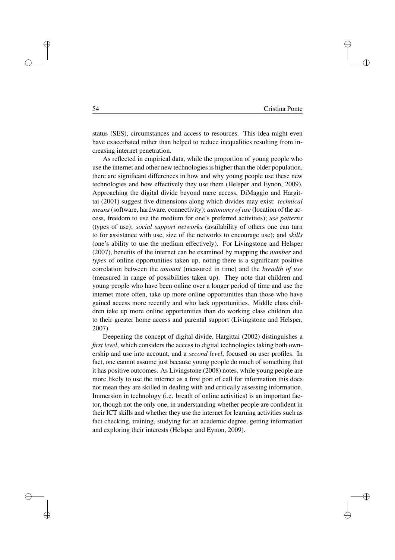Đ.

 $\oplus$ 

Đ.

Đ.

status (SES), circumstances and access to resources. This idea might even have exacerbated rather than helped to reduce inequalities resulting from increasing internet penetration.

As reflected in empirical data, while the proportion of young people who use the internet and other new technologies is higher than the older population, there are significant differences in how and why young people use these new technologies and how effectively they use them (Helsper and Eynon, 2009). Approaching the digital divide beyond mere access, DiMaggio and Hargittai (2001) suggest five dimensions along which divides may exist: *technical means*(software, hardware, connectivity); *autonomy of use* (location of the access, freedom to use the medium for one's preferred activities); *use patterns* (types of use); *social support networks* (availability of others one can turn to for assistance with use, size of the networks to encourage use); and *skills* (one's ability to use the medium effectively). For Livingstone and Helsper (2007), benefits of the internet can be examined by mapping the *number* and *types* of online opportunities taken up, noting there is a significant positive correlation between the *amount* (measured in time) and the *breadth of use* (measured in range of possibilities taken up). They note that children and young people who have been online over a longer period of time and use the internet more often, take up more online opportunities than those who have gained access more recently and who lack opportunities. Middle class children take up more online opportunities than do working class children due to their greater home access and parental support (Livingstone and Helsper, 2007).

Deepening the concept of digital divide, Hargittai (2002) distinguishes a *first level*, which considers the access to digital technologies taking both ownership and use into account, and a *second level*, focused on user profiles. In fact, one cannot assume just because young people do much of something that it has positive outcomes. As Livingstone (2008) notes, while young people are more likely to use the internet as a first port of call for information this does not mean they are skilled in dealing with and critically assessing information. Immersion in technology (i.e. breath of online activities) is an important factor, though not the only one, in understanding whether people are confident in their ICT skills and whether they use the internet for learning activities such as fact checking, training, studying for an academic degree, getting information and exploring their interests (Helsper and Eynon, 2009).

 $\rightarrow$ 

 $\rightarrow$ 

Đ.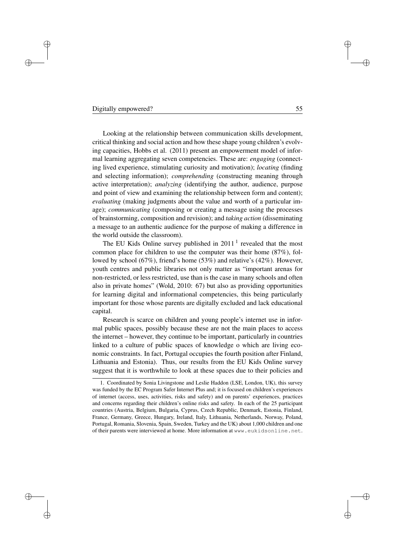#### Digitally empowered? 55

 $\rightarrow$ 

 $\rightarrow$ 

Đ.

D.

Looking at the relationship between communication skills development, critical thinking and social action and how these shape young children's evolving capacities, Hobbs et al. (2011) present an empowerment model of informal learning aggregating seven competencies. These are: *engaging* (connecting lived experience, stimulating curiosity and motivation); *locating* (finding and selecting information); *comprehending* (constructing meaning through active interpretation); *analyzing* (identifying the author, audience, purpose and point of view and examining the relationship between form and content); *evaluating* (making judgments about the value and worth of a particular image); *communicating* (composing or creating a message using the processes of brainstorming, composition and revision); and *taking action* (disseminating a message to an authentic audience for the purpose of making a difference in the world outside the classroom).

The EU Kids Online survey published in  $2011<sup>1</sup>$  revealed that the most common place for children to use the computer was their home (87%), followed by school (67%), friend's home (53%) and relative's (42%). However, youth centres and public libraries not only matter as "important arenas for non-restricted, or less restricted, use than is the case in many schools and often also in private homes" (Wold, 2010: 67) but also as providing opportunities for learning digital and informational competencies, this being particularly important for those whose parents are digitally excluded and lack educational capital.

Research is scarce on children and young people's internet use in informal public spaces, possibly because these are not the main places to access the internet – however, they continue to be important, particularly in countries linked to a culture of public spaces of knowledge o which are living economic constraints. In fact, Portugal occupies the fourth position after Finland, Lithuania and Estonia). Thus, our results from the EU Kids Online survey suggest that it is worthwhile to look at these spaces due to their policies and Đ.

Ð

Đ.

<sup>1.</sup> Coordinated by Sonia Livingstone and Leslie Haddon (LSE, London, UK), this survey was funded by the EC Program Safer Internet Plus and; it is focused on children's experiences of internet (access, uses, activities, risks and safety) and on parents' experiences, practices and concerns regarding their children's online risks and safety. In each of the 25 participant countries (Austria, Belgium, Bulgaria, Cyprus, Czech Republic, Denmark, Estonia, Finland, France, Germany, Greece, Hungary, Ireland, Italy, Lithuania, Netherlands, Norway, Poland, Portugal, Romania, Slovenia, Spain, Sweden, Turkey and the UK) about 1,000 children and one of their parents were interviewed at home. More information at www.eukidsonline.net.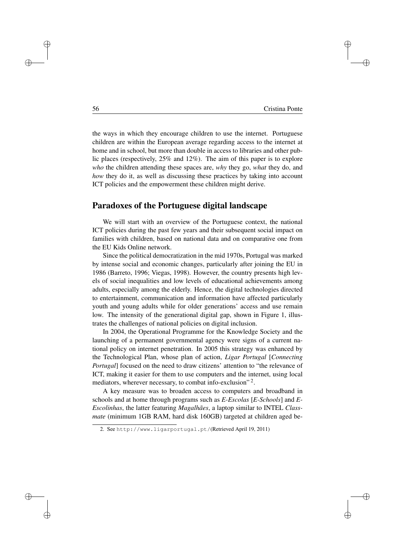Đ.

Ð

Đ.

Đ.

the ways in which they encourage children to use the internet. Portuguese children are within the European average regarding access to the internet at home and in school, but more than double in access to libraries and other public places (respectively, 25% and 12%). The aim of this paper is to explore *who* the children attending these spaces are, *why* they go, *what* they do, and *how* they do it, as well as discussing these practices by taking into account ICT policies and the empowerment these children might derive.

# Paradoxes of the Portuguese digital landscape

We will start with an overview of the Portuguese context, the national ICT policies during the past few years and their subsequent social impact on families with children, based on national data and on comparative one from the EU Kids Online network.

Since the political democratization in the mid 1970s, Portugal was marked by intense social and economic changes, particularly after joining the EU in 1986 (Barreto, 1996; Viegas, 1998). However, the country presents high levels of social inequalities and low levels of educational achievements among adults, especially among the elderly. Hence, the digital technologies directed to entertainment, communication and information have affected particularly youth and young adults while for older generations' access and use remain low. The intensity of the generational digital gap, shown in Figure 1, illustrates the challenges of national policies on digital inclusion.

In 2004, the Operational Programme for the Knowledge Society and the launching of a permanent governmental agency were signs of a current national policy on internet penetration. In 2005 this strategy was enhanced by the Technological Plan, whose plan of action, *Ligar Portugal* [*Connecting Portugal*] focused on the need to draw citizens' attention to "the relevance of ICT, making it easier for them to use computers and the internet, using local mediators, wherever necessary, to combat info-exclusion"<sup>2</sup>.

A key measure was to broaden access to computers and broadband in schools and at home through programs such as *E-Escolas* [*E-Schools*] and *E-Escolinhas*, the latter featuring *Magalhães*, a laptop similar to INTEL *Classmate* (minimum 1GB RAM, hard disk 160GB) targeted at children aged be-

 $\rightarrow$ 

 $\rightarrow$ 

Đ.

<sup>2.</sup> See http://www.ligarportugal.pt/(Retrieved April 19, 2011)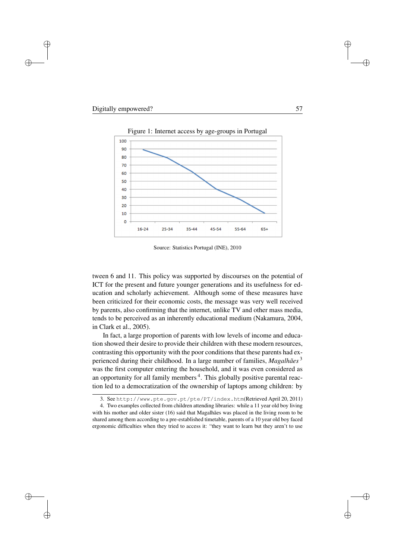$\rightarrow$ 

Đ.

D.



Figure 1: Internet access by age-groups in Portugal

Source: Statistics Portugal (INE), 2010

tween 6 and 11. This policy was supported by discourses on the potential of ICT for the present and future younger generations and its usefulness for education and scholarly achievement. Although some of these measures have been criticized for their economic costs, the message was very well received by parents, also confirming that the internet, unlike TV and other mass media, tends to be perceived as an inherently educational medium (Nakamura, 2004, in Clark et al., 2005).

In fact, a large proportion of parents with low levels of income and education showed their desire to provide their children with these modern resources, contrasting this opportunity with the poor conditions that these parents had experienced during their childhood. In a large number of families, *Magalhães* <sup>3</sup> was the first computer entering the household, and it was even considered as an opportunity for all family members<sup>4</sup>. This globally positive parental reaction led to a democratization of the ownership of laptops among children: by Đ.

 $\oplus$ 

Đ.

<sup>3.</sup> See http://www.pte.gov.pt/pte/PT/index.htm(Retrieved April 20, 2011)

<sup>4.</sup> Two examples collected from children attending libraries: while a 11 year old boy living with his mother and older sister (16) said that Magalhães was placed in the living room to be shared among them according to a pre-established timetable, parents of a 10 year old boy faced ergonomic difficulties when they tried to access it: "they want to learn but they aren't to use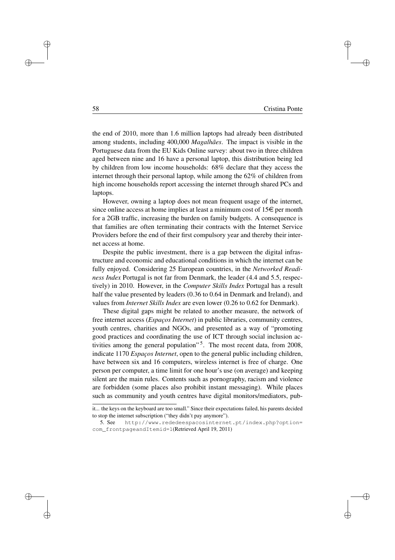Đ.

Ð

Đ.

Đ.

the end of 2010, more than 1.6 million laptops had already been distributed among students, including 400,000 *Magalhães*. The impact is visible in the Portuguese data from the EU Kids Online survey: about two in three children aged between nine and 16 have a personal laptop, this distribution being led by children from low income households: 68% declare that they access the internet through their personal laptop, while among the 62% of children from high income households report accessing the internet through shared PCs and laptops.

However, owning a laptop does not mean frequent usage of the internet, since online access at home implies at least a minimum cost of  $15 \in$  per month for a 2GB traffic, increasing the burden on family budgets. A consequence is that families are often terminating their contracts with the Internet Service Providers before the end of their first compulsory year and thereby their internet access at home.

Despite the public investment, there is a gap between the digital infrastructure and economic and educational conditions in which the internet can be fully enjoyed. Considering 25 European countries, in the *Networked Readiness Index* Portugal is not far from Denmark, the leader (4.4 and 5.5, respectively) in 2010. However, in the *Computer Skills Index* Portugal has a result half the value presented by leaders (0.36 to 0.64 in Denmark and Ireland), and values from *Internet Skills Index* are even lower (0.26 to 0.62 for Denmark).

These digital gaps might be related to another measure, the network of free internet access (*Espaços Internet*) in public libraries, community centres, youth centres, charities and NGOs, and presented as a way of "promoting good practices and coordinating the use of ICT through social inclusion activities among the general population"<sup>5</sup>. The most recent data, from 2008, indicate 1170 *Espaços Internet*, open to the general public including children, have between six and 16 computers, wireless internet is free of charge. One person per computer, a time limit for one hour's use (on average) and keeping silent are the main rules. Contents such as pornography, racism and violence are forbidden (some places also prohibit instant messaging). While places such as community and youth centres have digital monitors/mediators, pub-

 $\rightarrow$ 

 $\rightarrow$ 

Đ.

it... the keys on the keyboard are too small." Since their expectations failed, his parents decided to stop the internet subscription ("they didn't pay anymore").

<sup>5.</sup> See http://www.rededeespacosinternet.pt/index.php?option= com\_frontpageandItemid=1(Retrieved April 19, 2011)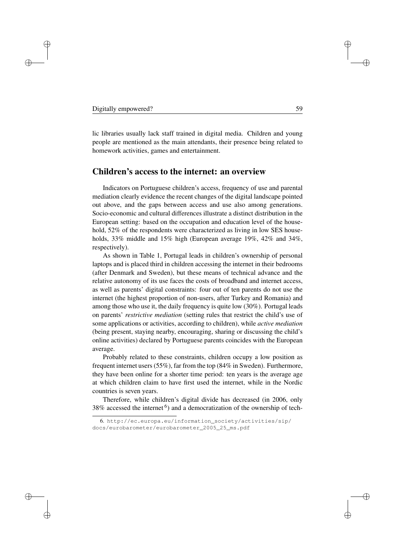$\rightarrow$ 

Đ.

D.

lic libraries usually lack staff trained in digital media. Children and young people are mentioned as the main attendants, their presence being related to homework activities, games and entertainment.

## Children's access to the internet: an overview

Indicators on Portuguese children's access, frequency of use and parental mediation clearly evidence the recent changes of the digital landscape pointed out above, and the gaps between access and use also among generations. Socio-economic and cultural differences illustrate a distinct distribution in the European setting: based on the occupation and education level of the household, 52% of the respondents were characterized as living in low SES households, 33% middle and 15% high (European average 19%, 42% and 34%, respectively).

As shown in Table 1, Portugal leads in children's ownership of personal laptops and is placed third in children accessing the internet in their bedrooms (after Denmark and Sweden), but these means of technical advance and the relative autonomy of its use faces the costs of broadband and internet access, as well as parents' digital constraints: four out of ten parents do not use the internet (the highest proportion of non-users, after Turkey and Romania) and among those who use it, the daily frequency is quite low (30%). Portugal leads on parents' *restrictive mediation* (setting rules that restrict the child's use of some applications or activities, according to children), while *active mediation* (being present, staying nearby, encouraging, sharing or discussing the child's online activities) declared by Portuguese parents coincides with the European average.

Probably related to these constraints, children occupy a low position as frequent internet users (55%), far from the top (84% in Sweden). Furthermore, they have been online for a shorter time period: ten years is the average age at which children claim to have first used the internet, while in the Nordic countries is seven years.

Therefore, while children's digital divide has decreased (in 2006, only 38% accessed the internet  $<sup>6</sup>$ ) and a democratization of the ownership of tech-</sup>

Đ.

Ð

Đ.

<sup>6.</sup> http://ec.europa.eu/information\_society/activities/sip/ docs/eurobarometer/eurobarometer\_2005\_25\_ms.pdf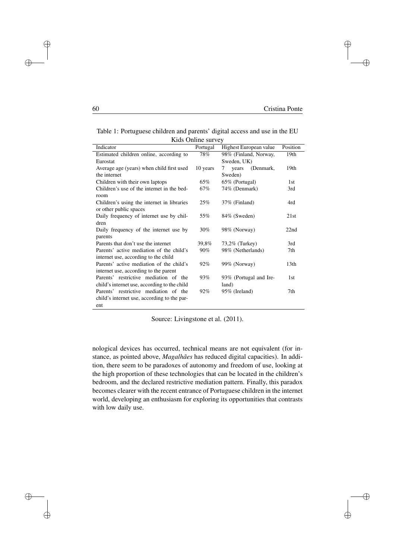$\oplus$ 

 $\oplus$ 

Đ.

Đ.

Table 1: Portuguese children and parents' digital access and use in the EU Kids Online survey

| ixius Oilline sui ve v                       |          |                         |          |  |  |
|----------------------------------------------|----------|-------------------------|----------|--|--|
| Indicator                                    | Portugal | Highest European value  | Position |  |  |
| Estimated children online, according to      | 78%      | 98% (Finland, Norway,   | 19th     |  |  |
| Eurostat                                     |          | Sweden, UK)             |          |  |  |
| Average age (years) when child first used    | 10 years | (Denmark,<br>years<br>7 | 19th     |  |  |
| the internet                                 |          | Sweden)                 |          |  |  |
| Children with their own laptops              | 65%      | 65% (Portugal)          | 1st      |  |  |
| Children's use of the internet in the bed-   | 67%      | 74% (Denmark)           | 3rd      |  |  |
| room                                         |          |                         |          |  |  |
| Children's using the internet in libraries   | 25%      | $37\%$ (Finland)        | 4rd      |  |  |
| or other public spaces                       |          |                         |          |  |  |
| Daily frequency of internet use by chil-     | 55%      | 84% (Sweden)            | 21st     |  |  |
| dren                                         |          |                         |          |  |  |
| Daily frequency of the internet use by       | 30%      | 98% (Norway)            | 22nd     |  |  |
| parents                                      |          |                         |          |  |  |
| Parents that don't use the internet          | 39,8%    | 73,2% (Turkey)          | 3rd      |  |  |
| Parents' active mediation of the child's     | $90\%$   | 98% (Netherlands)       | 7th      |  |  |
| internet use, according to the child         |          |                         |          |  |  |
| Parents' active mediation of the child's     | 92%      | 99% (Norway)            | 13th     |  |  |
| internet use, according to the parent        |          |                         |          |  |  |
| Parents' restrictive mediation of the        | 93%      | 93% (Portugal and Ire-  | 1st      |  |  |
| child's internet use, according to the child |          | land)                   |          |  |  |
| Parents' restrictive mediation of the        | 92%      | 95% (Ireland)           | 7th      |  |  |
| child's internet use, according to the par-  |          |                         |          |  |  |
| ent                                          |          |                         |          |  |  |

Source: Livingstone et al. (2011).

nological devices has occurred, technical means are not equivalent (for instance, as pointed above, *Magalhães* has reduced digital capacities). In addition, there seem to be paradoxes of autonomy and freedom of use, looking at the high proportion of these technologies that can be located in the children's bedroom, and the declared restrictive mediation pattern. Finally, this paradox becomes clearer with the recent entrance of Portuguese children in the internet world, developing an enthusiasm for exploring its opportunities that contrasts with low daily use.

 $\bigoplus$ 

 $\rightarrow$ 

i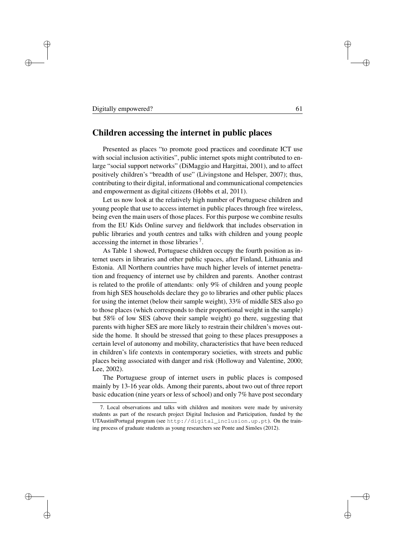#### Digitally empowered? 61

 $\rightarrow$ 

 $\rightarrow$ 

Đ.

D.

# Children accessing the internet in public places

Presented as places "to promote good practices and coordinate ICT use with social inclusion activities", public internet spots might contributed to enlarge "social support networks" (DiMaggio and Hargittai, 2001), and to affect positively children's "breadth of use" (Livingstone and Helsper, 2007); thus, contributing to their digital, informational and communicational competencies and empowerment as digital citizens (Hobbs et al, 2011).

Let us now look at the relatively high number of Portuguese children and young people that use to access internet in public places through free wireless, being even the main users of those places. For this purpose we combine results from the EU Kids Online survey and fieldwork that includes observation in public libraries and youth centres and talks with children and young people accessing the internet in those libraries 7.

As Table 1 showed, Portuguese children occupy the fourth position as internet users in libraries and other public spaces, after Finland, Lithuania and Estonia. All Northern countries have much higher levels of internet penetration and frequency of internet use by children and parents. Another contrast is related to the profile of attendants: only 9% of children and young people from high SES households declare they go to libraries and other public places for using the internet (below their sample weight), 33% of middle SES also go to those places (which corresponds to their proportional weight in the sample) but 58% of low SES (above their sample weight) go there, suggesting that parents with higher SES are more likely to restrain their children's moves outside the home. It should be stressed that going to these places presupposes a certain level of autonomy and mobility, characteristics that have been reduced in children's life contexts in contemporary societies, with streets and public places being associated with danger and risk (Holloway and Valentine, 2000; Lee, 2002).

The Portuguese group of internet users in public places is composed mainly by 13-16 year olds. Among their parents, about two out of three report basic education (nine years or less of school) and only 7% have post secondary Đ.

Ð

Đ.

<sup>7.</sup> Local observations and talks with children and monitors were made by university students as part of the research project Digital Inclusion and Participation, funded by the UTAustin|Portugal program (see http://digital\_inclusion.up.pt). On the training process of graduate students as young researchers see Ponte and Simões (2012).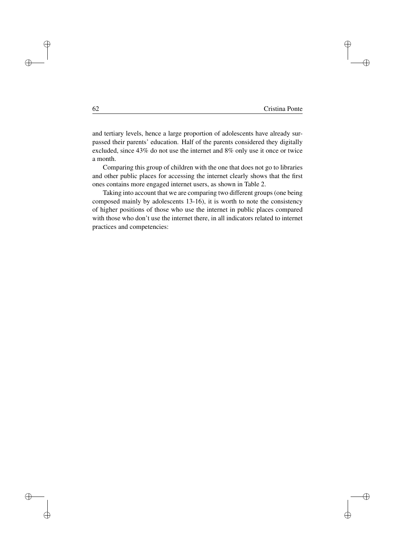$\oplus$ 

 $\oplus$ 

Đ.

Đ.

and tertiary levels, hence a large proportion of adolescents have already surpassed their parents' education. Half of the parents considered they digitally excluded, since 43% do not use the internet and 8% only use it once or twice a month.

Comparing this group of children with the one that does not go to libraries and other public places for accessing the internet clearly shows that the first ones contains more engaged internet users, as shown in Table 2.

Taking into account that we are comparing two different groups (one being composed mainly by adolescents 13-16), it is worth to note the consistency of higher positions of those who use the internet in public places compared with those who don't use the internet there, in all indicators related to internet practices and competencies:

 $\oplus$ 

i

 $\oplus$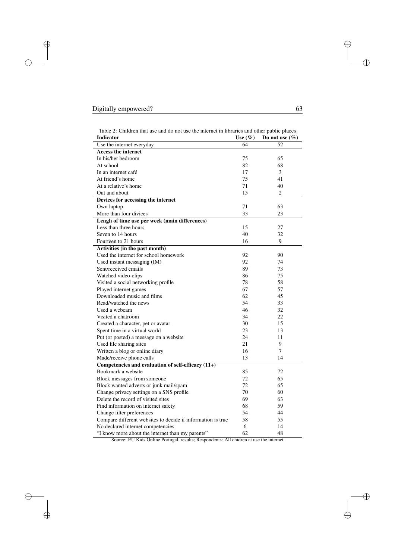$\bigoplus$ 

 $\bigoplus$ 

 $\bigoplus$ 

 $\bigoplus$ 

| <b>Indicator</b>                                                                       | Use $(\%)$ | a omer public plue<br>Do not use $(\% )$ |  |
|----------------------------------------------------------------------------------------|------------|------------------------------------------|--|
| Use the internet everyday                                                              | 64         | 52                                       |  |
| <b>Access the internet</b>                                                             |            |                                          |  |
| In his/her bedroom                                                                     | 75         | 65                                       |  |
| At school                                                                              | 82         | 68                                       |  |
| In an internet café                                                                    | 17         | 3                                        |  |
| At friend's home                                                                       | 75         | 41                                       |  |
| At a relative's home                                                                   | 71         | 40                                       |  |
| Out and about                                                                          | 15         | $\overline{2}$                           |  |
| Devices for accessing the internet                                                     |            |                                          |  |
| Own laptop                                                                             | 71         | 63                                       |  |
| More than four divices                                                                 | 33         | 23                                       |  |
| Lengh of time use per week (main differences)                                          |            |                                          |  |
| Less than three hours                                                                  | 15         | 27                                       |  |
| Seven to 14 hours                                                                      | 40         | 32                                       |  |
| Fourteen to 21 hours                                                                   | 16         | 9                                        |  |
| Activities (in the past month)                                                         |            |                                          |  |
| Used the internet for school homework                                                  | 92         | 90                                       |  |
| Used instant messaging (IM)                                                            | 92         | 74                                       |  |
| Sent/received emails                                                                   | 89         | 73                                       |  |
| Watched video-clips                                                                    | 86         | 75                                       |  |
| Visited a social networking profile                                                    | 78         | 58                                       |  |
| Played internet games                                                                  | 67         | 57                                       |  |
| Downloaded music and films                                                             | 62         | 45                                       |  |
| Read/watched the news                                                                  | 54         | 33                                       |  |
| Used a webcam                                                                          | 46         | 32                                       |  |
| Visited a chatroom                                                                     | 34         | 22                                       |  |
| Created a character, pet or avatar                                                     | 30         | 15                                       |  |
| Spent time in a virtual world                                                          | 23         | 13                                       |  |
| Put (or posted) a message on a website                                                 | 24         | 11                                       |  |
| Used file sharing sites                                                                | 21         | 9                                        |  |
| Written a blog or online diary                                                         | 16         | $\overline{7}$                           |  |
| Made/receive phone calls                                                               | 13         | 14                                       |  |
| Competencies and evaluation of self-efficacy $(11+)$                                   |            |                                          |  |
| Bookmark a website                                                                     | 85         | 72                                       |  |
| Block messages from someone                                                            | 72         | 65                                       |  |
| Block wanted adverts or junk mail/spam                                                 | 72         | 65                                       |  |
| Change privacy settings on a SNS profile                                               | 70         | 60                                       |  |
| Delete the record of visited sites                                                     | 69         | 63                                       |  |
| Find information on internet safety                                                    | 68         | 59                                       |  |
| Change filter preferences                                                              | 54         | 44                                       |  |
| Compare different websites to decide if information is true                            | 58         | 55                                       |  |
| No declared internet competencies                                                      | 6          | 14                                       |  |
| "I know more about the internet than my parents"                                       | 62         | 48                                       |  |
| Source: EU Kids Online Portugal, results; Respondents: All chidren at use the internet |            |                                          |  |

Table 2: Children that use and do not use the internet in libraries and other public places

 $\bigoplus$ 

 $\bigoplus$ 

 $\oplus$ 

 $\oplus$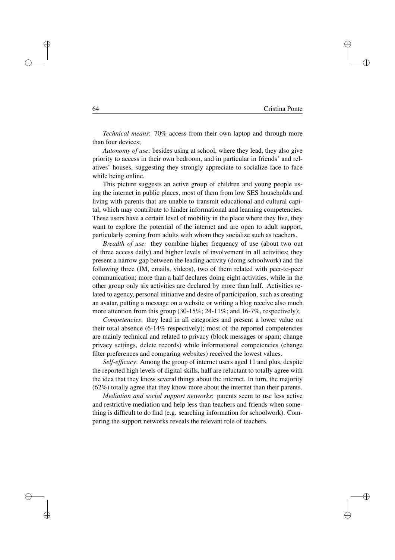Đ.

 $\oplus$ 

Đ.

Đ.

*Technical means*: 70% access from their own laptop and through more than four devices;

*Autonomy of use*: besides using at school, where they lead, they also give priority to access in their own bedroom, and in particular in friends' and relatives' houses, suggesting they strongly appreciate to socialize face to face while being online.

This picture suggests an active group of children and young people using the internet in public places, most of them from low SES households and living with parents that are unable to transmit educational and cultural capital, which may contribute to hinder informational and learning competencies. These users have a certain level of mobility in the place where they live, they want to explore the potential of the internet and are open to adult support, particularly coming from adults with whom they socialize such as teachers.

*Breadth of use:* they combine higher frequency of use (about two out of three access daily) and higher levels of involvement in all activities; they present a narrow gap between the leading activity (doing schoolwork) and the following three (IM, emails, videos), two of them related with peer-to-peer communication; more than a half declares doing eight activities, while in the other group only six activities are declared by more than half. Activities related to agency, personal initiative and desire of participation, such as creating an avatar, putting a message on a website or writing a blog receive also much more attention from this group  $(30-15\%; 24-11\%;$  and  $16-7\%$ , respectively);

*Competencies*: they lead in all categories and present a lower value on their total absence (6-14% respectively); most of the reported competencies are mainly technical and related to privacy (block messages or spam; change privacy settings, delete records) while informational competencies (change filter preferences and comparing websites) received the lowest values.

*Self-efficacy*: Among the group of internet users aged 11 and plus, despite the reported high levels of digital skills, half are reluctant to totally agree with the idea that they know several things about the internet. In turn, the majority (62%) totally agree that they know more about the internet than their parents.

*Mediation and social support networks*: parents seem to use less active and restrictive mediation and help less than teachers and friends when something is difficult to do find (e.g. searching information for schoolwork). Comparing the support networks reveals the relevant role of teachers.

 $\rightarrow$ 

 $\rightarrow$ 

Đ.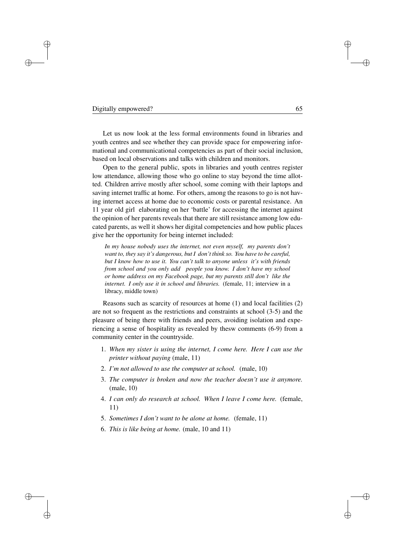### Digitally empowered? 65

 $\rightarrow$ 

 $\rightarrow$ 

Đ.

D.

Let us now look at the less formal environments found in libraries and youth centres and see whether they can provide space for empowering informational and communicational competencies as part of their social inclusion, based on local observations and talks with children and monitors.

Open to the general public, spots in libraries and youth centres register low attendance, allowing those who go online to stay beyond the time allotted. Children arrive mostly after school, some coming with their laptops and saving internet traffic at home. For others, among the reasons to go is not having internet access at home due to economic costs or parental resistance. An 11 year old girl elaborating on her 'battle' for accessing the internet against the opinion of her parents reveals that there are still resistance among low educated parents, as well it shows her digital competencies and how public places give her the opportunity for being internet included:

*In my house nobody uses the internet, not even myself, my parents don't want to, they say it's dangerous, but I don't think so. You have to be careful, but I know how to use it. You can't talk to anyone unless it's with friends from school and you only add people you know. I don't have my school or home address on my Facebook page, but my parents still don't like the internet. I only use it in school and libraries.* (female, 11; interview in a libracy, middle town)

Reasons such as scarcity of resources at home (1) and local facilities (2) are not so frequent as the restrictions and constraints at school (3-5) and the pleasure of being there with friends and peers, avoiding isolation and experiencing a sense of hospitality as revealed by thesw comments (6-9) from a community center in the countryside.

- 1. *When my sister is using the internet, I come here. Here I can use the printer without paying* (male, 11)
- 2. *I'm not allowed to use the computer at school.* (male, 10)
- 3. *The computer is broken and now the teacher doesn't use it anymore.* (male, 10)
- 4. *I can only do research at school. When I leave I come here.* (female, 11)
- 5. *Sometimes I don't want to be alone at home.* (female, 11)
- 6. *This is like being at home.* (male, 10 and 11)

Đ.

Ð

Đ.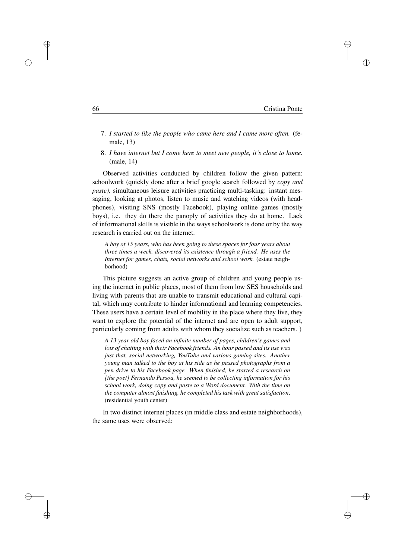| 66 | Cristina Ponte |
|----|----------------|
|    |                |

Đ.

Ð

Đ.

Đ.

- 7. *I started to like the people who came here and I came more often.* (female, 13)
- 8. *I have internet but I come here to meet new people, it's close to home.* (male, 14)

Observed activities conducted by children follow the given pattern: schoolwork (quickly done after a brief google search followed by *copy and paste),* simultaneous leisure activities practicing multi-tasking: instant messaging, looking at photos, listen to music and watching videos (with headphones), visiting SNS (mostly Facebook), playing online games (mostly boys), i.e. they do there the panoply of activities they do at home. Lack of informational skills is visible in the ways schoolwork is done or by the way research is carried out on the internet.

*A boy of 15 years, who has been going to these spaces for four years about three times a week, discovered its existence through a friend. He uses the Internet for games, chats, social networks and school work.* (estate neighborhood)

This picture suggests an active group of children and young people using the internet in public places, most of them from low SES households and living with parents that are unable to transmit educational and cultural capital, which may contribute to hinder informational and learning competencies. These users have a certain level of mobility in the place where they live, they want to explore the potential of the internet and are open to adult support, particularly coming from adults with whom they socialize such as teachers. )

*A 13 year old boy faced an infinite number of pages, children's games and lots of chatting with their Facebook friends. An hour passed and its use was just that, social networking, YouTube and various gaming sites. Another young man talked to the boy at his side as he passed photographs from a pen drive to his Facebook page. When finished, he started a research on [the poet] Fernando Pessoa, he seemed to be collecting information for his school work, doing copy and paste to a Word document. With the time on the computer almost finishing, he completed his task with great satisfaction*. (residential youth center)

In two distinct internet places (in middle class and estate neighborhoods), the same uses were observed:

 $\rightarrow$ 

<sup>)</sup>

Đ.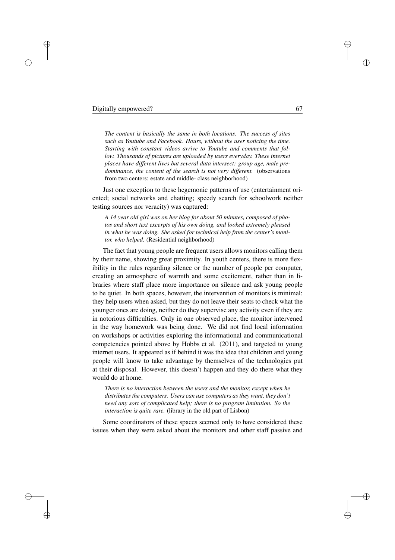<sup>)</sup>

Đ.

D.

*The content is basically the same in both locations. The success of sites such as Youtube and Facebook. Hours, without the user noticing the time. Starting with constant videos arrive to Youtube and comments that follow. Thousands of pictures are uploaded by users everyday. These internet places have different lives but several data intersect: group age, male predominance, the content of the search is not very different.* (observations from two centers: estate and middle- class neighborhood)

Just one exception to these hegemonic patterns of use (entertainment oriented; social networks and chatting; speedy search for schoolwork neither testing sources nor veracity) was captured:

*A 14 year old girl was on her blog for about 50 minutes, composed of photos and short text excerpts of his own doing, and looked extremely pleased in what he was doing. She asked for technical help from the center's monitor, who helped*. (Residential neighborhood)

The fact that young people are frequent users allows monitors calling them by their name, showing great proximity. In youth centers, there is more flexibility in the rules regarding silence or the number of people per computer, creating an atmosphere of warmth and some excitement, rather than in libraries where staff place more importance on silence and ask young people to be quiet. In both spaces, however, the intervention of monitors is minimal: they help users when asked, but they do not leave their seats to check what the younger ones are doing, neither do they supervise any activity even if they are in notorious difficulties. Only in one observed place, the monitor intervened in the way homework was being done. We did not find local information on workshops or activities exploring the informational and communicational competencies pointed above by Hobbs et al. (2011), and targeted to young internet users. It appeared as if behind it was the idea that children and young people will know to take advantage by themselves of the technologies put at their disposal. However, this doesn't happen and they do there what they would do at home.

*There is no interaction between the users and the monitor, except when he distributes the computers. Users can use computers as they want, they don't need any sort of complicated help; there is no program limitation. So the interaction is quite rare.* (library in the old part of Lisbon)

Some coordinators of these spaces seemed only to have considered these issues when they were asked about the monitors and other staff passive and Đ.

Ð

Đ.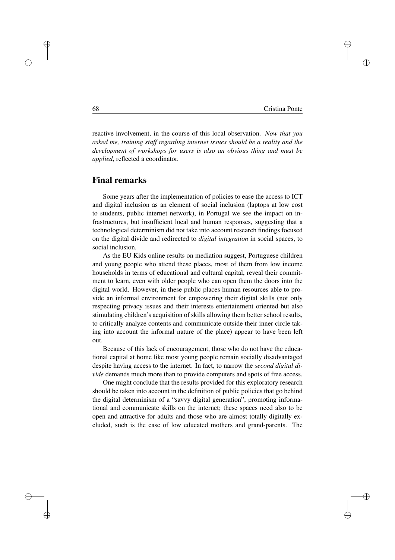Đ.

Ð

Đ.

Đ.

reactive involvement, in the course of this local observation. *Now that you asked me, training staff regarding internet issues should be a reality and the development of workshops for users is also an obvious thing and must be applied*, reflected a coordinator.

# Final remarks

Some years after the implementation of policies to ease the access to ICT and digital inclusion as an element of social inclusion (laptops at low cost to students, public internet network), in Portugal we see the impact on infrastructures, but insufficient local and human responses, suggesting that a technological determinism did not take into account research findings focused on the digital divide and redirected to *digital integration* in social spaces, to social inclusion.

As the EU Kids online results on mediation suggest, Portuguese children and young people who attend these places, most of them from low income households in terms of educational and cultural capital, reveal their commitment to learn, even with older people who can open them the doors into the digital world. However, in these public places human resources able to provide an informal environment for empowering their digital skills (not only respecting privacy issues and their interests entertainment oriented but also stimulating children's acquisition of skills allowing them better school results, to critically analyze contents and communicate outside their inner circle taking into account the informal nature of the place) appear to have been left out.

Because of this lack of encouragement, those who do not have the educational capital at home like most young people remain socially disadvantaged despite having access to the internet. In fact, to narrow the *second digital divide* demands much more than to provide computers and spots of free access.

One might conclude that the results provided for this exploratory research should be taken into account in the definition of public policies that go behind the digital determinism of a "savvy digital generation", promoting informational and communicate skills on the internet; these spaces need also to be open and attractive for adults and those who are almost totally digitally excluded, such is the case of low educated mothers and grand-parents. The

 $\rightarrow$ 

 $\rightarrow$ 

Đ.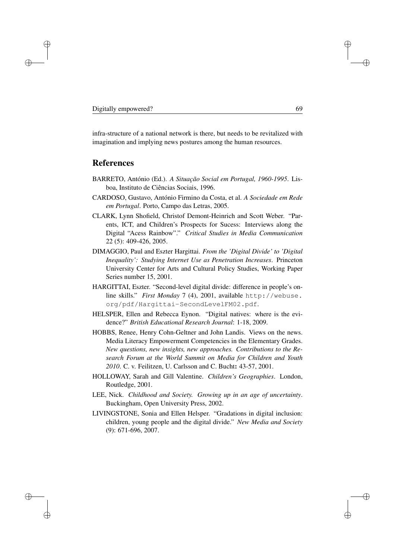$\rightarrow$ 

Đ.

D.

infra-structure of a national network is there, but needs to be revitalized with imagination and implying news postures among the human resources.

# References

- BARRETO, António (Ed.). *A Situação Social em Portugal, 1960-1995*. Lisboa, Instituto de Ciências Sociais, 1996.
- CARDOSO, Gustavo, António Firmino da Costa, et al. *A Sociedade em Rede em Portugal*. Porto, Campo das Letras, 2005.
- CLARK, Lynn Shofield, Christof Demont-Heinrich and Scott Weber. "Parents, ICT, and Children's Prospects for Sucess: Interviews along the Digital "Acess Rainbow"." *Critical Studies in Media Communication* 22 (5): 409-426, 2005.
- DIMAGGIO, Paul and Eszter Hargittai. *From the 'Digital Divide' to 'Digital Inequality': Studying Internet Use as Penetration Increases*. Princeton University Center for Arts and Cultural Policy Studies, Working Paper Series number 15, 2001.
- HARGITTAI, Eszter. "Second-level digital divide: difference in people's online skills." *First Monday* 7 (4), 2001, available http://webuse. org/pdf/Hargittai-SecondLevelFM02.pdf.
- HELSPER, Ellen and Rebecca Eynon. "Digital natives: where is the evidence?" *British Educational Research Journal*: 1-18, 2009.
- HOBBS, Renee, Henry Cohn-Geltner and John Landis. Views on the news. Media Literacy Empowerment Competencies in the Elementary Grades. *New questions, new insights, new approaches. Contributions to the Research Forum at the World Summit on Media for Children and Youth 2010*. C. v. Feilitzen, U. Carlsson and C. Bucht: 43-57, 2001.
- HOLLOWAY, Sarah and Gill Valentine. *Children's Geographies*. London, Routledge, 2001.
- LEE, Nick. *Childhood and Society. Growing up in an age of uncertainty*. Buckingham, Open University Press, 2002.
- LIVINGSTONE, Sonia and Ellen Helsper. "Gradations in digital inclusion: children, young people and the digital divide." *New Media and Society* (9): 671-696, 2007.

Đ.

Ð

Đ.